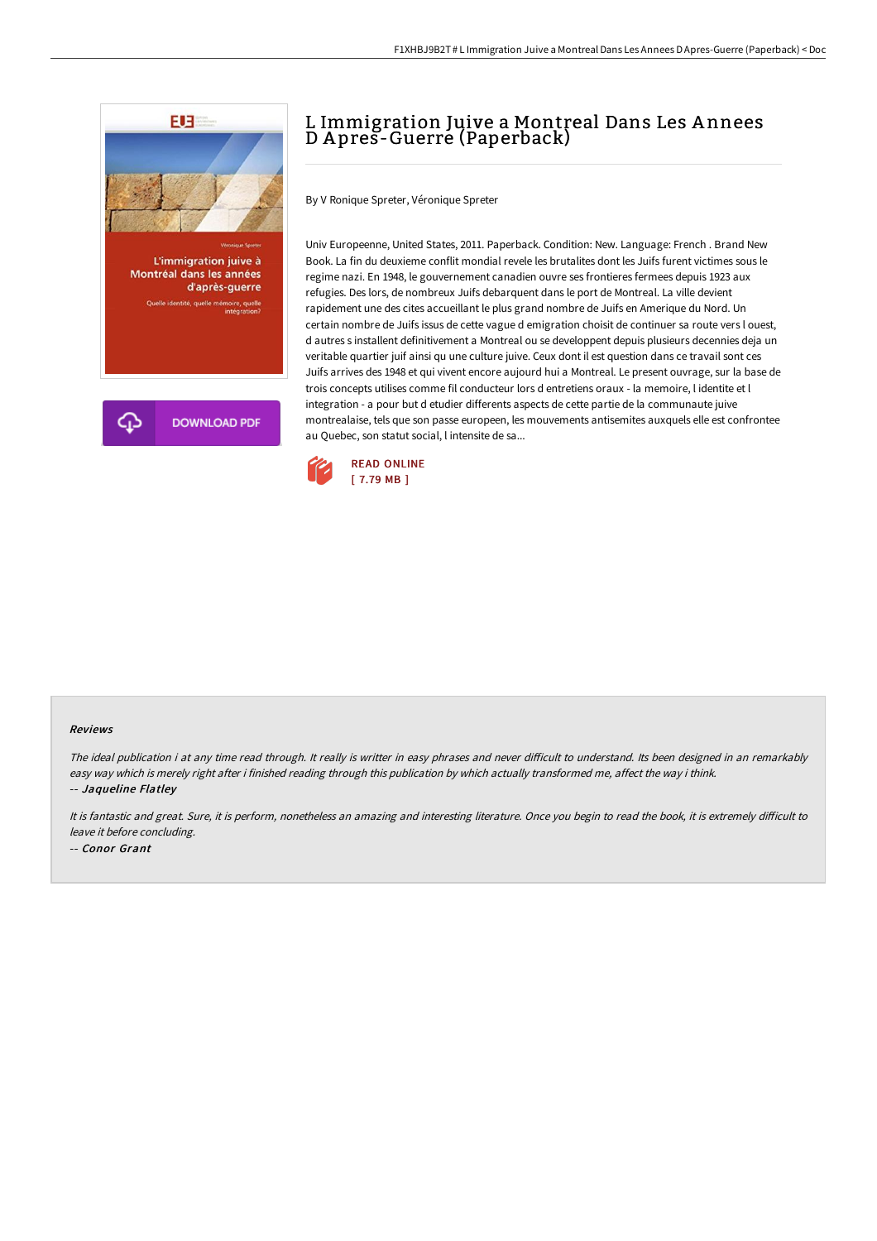

# L Immigration Juive a Montreal Dans Les A nnees D A pres-Guerre (Paperback)

By V Ronique Spreter, Véronique Spreter

Univ Europeenne, United States, 2011. Paperback. Condition: New. Language: French . Brand New Book. La fin du deuxieme conflit mondial revele les brutalites dont les Juifs furent victimes sous le regime nazi. En 1948, le gouvernement canadien ouvre ses frontieres fermees depuis 1923 aux refugies. Des lors, de nombreux Juifs debarquent dans le port de Montreal. La ville devient rapidement une des cites accueillant le plus grand nombre de Juifs en Amerique du Nord. Un certain nombre de Juifs issus de cette vague d emigration choisit de continuer sa route vers l ouest, d autres s installent definitivement a Montreal ou se developpent depuis plusieurs decennies deja un veritable quartier juif ainsi qu une culture juive. Ceux dont il est question dans ce travail sont ces Juifs arrives des 1948 et qui vivent encore aujourd hui a Montreal. Le present ouvrage, sur la base de trois concepts utilises comme fil conducteur lors d entretiens oraux - la memoire, l identite et l integration - a pour but d etudier differents aspects de cette partie de la communaute juive montrealaise, tels que son passe europeen, les mouvements antisemites auxquels elle est confrontee au Quebec, son statut social, l intensite de sa...



#### Reviews

The ideal publication i at any time read through. It really is writter in easy phrases and never difficult to understand. Its been designed in an remarkably easy way which is merely right after i finished reading through this publication by which actually transformed me, affect the way i think. -- Jaqueline Flatley

It is fantastic and great. Sure, it is perform, nonetheless an amazing and interesting literature. Once you begin to read the book, it is extremely difficult to leave it before concluding. -- Conor Grant